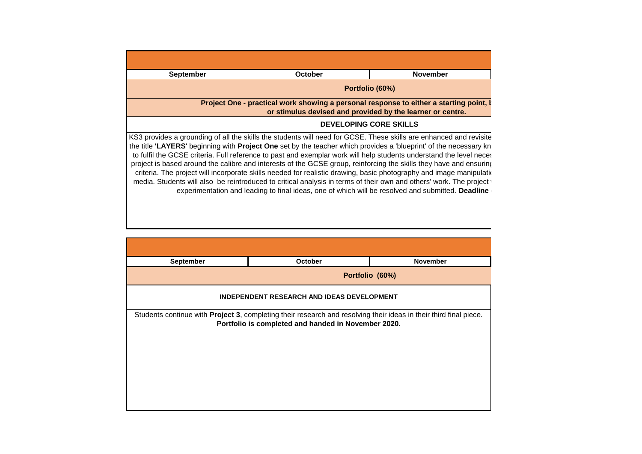| <b>September</b> | <b>October</b>                                             | <b>November</b>                                                                                                                                                                                                                                                                                                                                                                                                                                                                                                                                                                                                                                                                                                                                                                                                                           |
|------------------|------------------------------------------------------------|-------------------------------------------------------------------------------------------------------------------------------------------------------------------------------------------------------------------------------------------------------------------------------------------------------------------------------------------------------------------------------------------------------------------------------------------------------------------------------------------------------------------------------------------------------------------------------------------------------------------------------------------------------------------------------------------------------------------------------------------------------------------------------------------------------------------------------------------|
|                  |                                                            | Portfolio (60%)                                                                                                                                                                                                                                                                                                                                                                                                                                                                                                                                                                                                                                                                                                                                                                                                                           |
|                  | or stimulus devised and provided by the learner or centre. | Project One - practical work showing a personal response to either a starting point, b                                                                                                                                                                                                                                                                                                                                                                                                                                                                                                                                                                                                                                                                                                                                                    |
|                  |                                                            | <b>DEVELOPING CORE SKILLS</b>                                                                                                                                                                                                                                                                                                                                                                                                                                                                                                                                                                                                                                                                                                                                                                                                             |
|                  |                                                            | KS3 provides a grounding of all the skills the students will need for GCSE. These skills are enhanced and revisite<br>the title 'LAYERS' beginning with Project One set by the teacher which provides a 'blueprint' of the necessary kn<br>to fulfil the GCSE criteria. Full reference to past and exemplar work will help students understand the level neces<br>project is based around the calibre and interests of the GCSE group, reinforcing the skills they have and ensuring<br>criteria. The project will incorporate skills needed for realistic drawing, basic photography and image manipulation<br>media. Students will also be reintroduced to critical analysis in terms of their own and others' work. The project v<br>experimentation and leading to final ideas, one of which will be resolved and submitted. Deadline |

| September | October                                                                                                                                                                  | <b>November</b> |
|-----------|--------------------------------------------------------------------------------------------------------------------------------------------------------------------------|-----------------|
|           | Portfolio (60%)                                                                                                                                                          |                 |
|           | <b>INDEPENDENT RESEARCH AND IDEAS DEVELOPMENT</b>                                                                                                                        |                 |
|           | Students continue with Project 3, completing their research and resolving their ideas in their third final piece.<br>Portfolio is completed and handed in November 2020. |                 |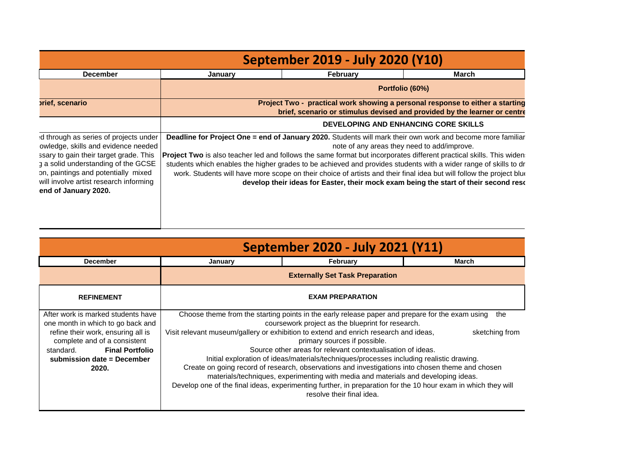|                                                                                                                                                                                                                                                                        |         | September 2019 - July 2020 (Y10)            |                                                                                                                                                                                                                                                                                                                                                                                                                                                                                                                                                                       |
|------------------------------------------------------------------------------------------------------------------------------------------------------------------------------------------------------------------------------------------------------------------------|---------|---------------------------------------------|-----------------------------------------------------------------------------------------------------------------------------------------------------------------------------------------------------------------------------------------------------------------------------------------------------------------------------------------------------------------------------------------------------------------------------------------------------------------------------------------------------------------------------------------------------------------------|
| <b>December</b>                                                                                                                                                                                                                                                        | January | February                                    | March                                                                                                                                                                                                                                                                                                                                                                                                                                                                                                                                                                 |
|                                                                                                                                                                                                                                                                        |         | Portfolio (60%)                             |                                                                                                                                                                                                                                                                                                                                                                                                                                                                                                                                                                       |
| prief, scenario                                                                                                                                                                                                                                                        |         |                                             | Project Two - practical work showing a personal response to either a starting<br>brief, scenario or stimulus devised and provided by the learner or centre                                                                                                                                                                                                                                                                                                                                                                                                            |
|                                                                                                                                                                                                                                                                        |         | DEVELOPING AND ENHANCING CORE SKILLS        |                                                                                                                                                                                                                                                                                                                                                                                                                                                                                                                                                                       |
| d through as series of projects under<br>owledge, skills and evidence needed<br>ssary to gain their target grade. This<br>g a solid understanding of the GCSE<br>on, paintings and potentially mixed<br>will involve artist research informing<br>end of January 2020. |         | note of any areas they need to add/improve. | Deadline for Project One = end of January 2020. Students will mark their own work and become more familiar<br>Project Two is also teacher led and follows the same format but incorporates different practical skills. This widen<br>students which enables the higher grades to be achieved and provides students with a wider range of skills to dr<br>work. Students will have more scope on their choice of artists and their final idea but will follow the project blue<br>develop their ideas for Easter, their mock exam being the start of their second reso |

|                                                                                                                                                                                                                             |         | September 2020 - July 2021 (Y11)                                                                                                                                                                                                                                                                                                                                                                                                                                                                                                                                                                                                                                                                                                                                                |                       |
|-----------------------------------------------------------------------------------------------------------------------------------------------------------------------------------------------------------------------------|---------|---------------------------------------------------------------------------------------------------------------------------------------------------------------------------------------------------------------------------------------------------------------------------------------------------------------------------------------------------------------------------------------------------------------------------------------------------------------------------------------------------------------------------------------------------------------------------------------------------------------------------------------------------------------------------------------------------------------------------------------------------------------------------------|-----------------------|
| <b>December</b>                                                                                                                                                                                                             | January | February                                                                                                                                                                                                                                                                                                                                                                                                                                                                                                                                                                                                                                                                                                                                                                        | March                 |
|                                                                                                                                                                                                                             |         | <b>Externally Set Task Preparation</b>                                                                                                                                                                                                                                                                                                                                                                                                                                                                                                                                                                                                                                                                                                                                          |                       |
| <b>REFINEMENT</b>                                                                                                                                                                                                           |         | <b>EXAM PREPARATION</b>                                                                                                                                                                                                                                                                                                                                                                                                                                                                                                                                                                                                                                                                                                                                                         |                       |
| After work is marked students have<br>one month in which to go back and<br>refine their work, ensuring all is<br>complete and of a consistent<br><b>Final Portfolio</b><br>standard.<br>submission date = December<br>2020. |         | Choose theme from the starting points in the early release paper and prepare for the exam using<br>coursework project as the blueprint for research.<br>Visit relevant museum/gallery or exhibition to extend and enrich research and ideas,<br>primary sources if possible.<br>Source other areas for relevant contextualisation of ideas.<br>Initial exploration of ideas/materials/techniques/processes including realistic drawing.<br>Create on going record of research, observations and investigations into chosen theme and chosen<br>materials/techniques, experimenting with media and materials and developing ideas.<br>Develop one of the final ideas, experimenting further, in preparation for the 10 hour exam in which they will<br>resolve their final idea. | the<br>sketching from |